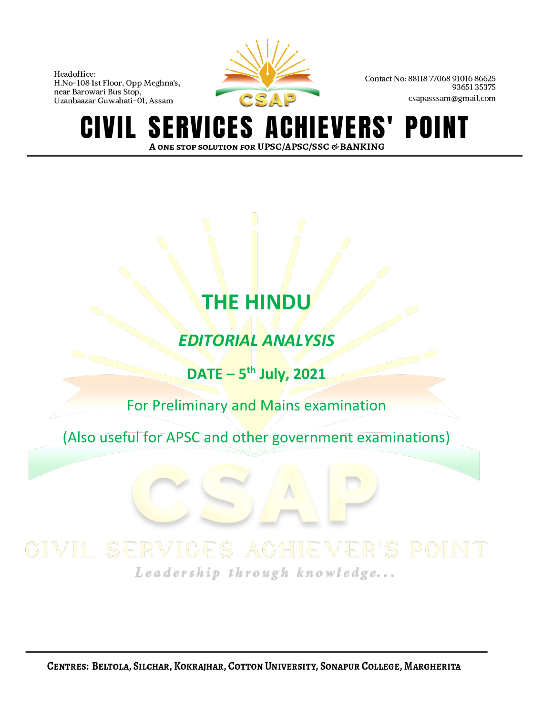

Contact No: 88118 77068 91016 86625 9365135375 csapasssam@gmail.com

**SERVICES A** IEVERS' POINT GIVIL A ONE STOP SOLUTION FOR UPSC/APSC/SSC & BANKING

## **THE HINDU**

*EDITORIAL ANALYSIS*

**DATE – 5 th July, 2021**

For Preliminary and Mains examination

(Also useful for APSC and other government examinations)

Leadership through knowledge...

CENTRES: BELTOLA, SILCHAR, KOKRAJHAR, COTTON UNIVERSITY, SONAPUR COLLEGE, MARGHERITA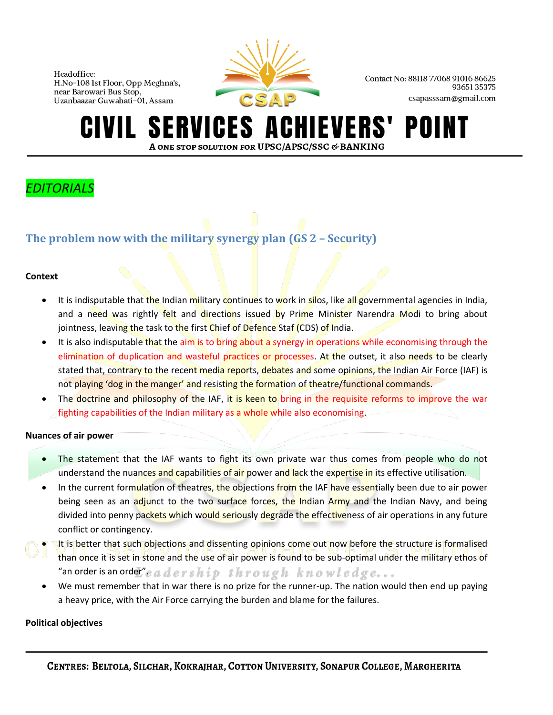

Contact No: 88118 77068 91016 86625 9365135375 csapasssam@gmail.com

## **SERVICES A IEVERS'** POII A ONE STOP SOLUTION FOR UPSC/APSC/SSC & BANKING

## *EDITORIALS*

## **The problem now with the military synergy plan (GS 2 – Security)**

## **Context**

- It is indisputable that the Indian military continues to work in silos, like all governmental agencies in India, and a need was rightly felt and directions issued by Prime Minister Narendra Modi to bring about jointness, leaving the task to the first Chief of Defence Staf (CDS) of India.
- It is also indisputable that the aim is to bring about a synergy in operations while economising through the elimination of duplication and wasteful practices or processes. At the outset, it also needs to be clearly stated that, contrary to the recent media reports, debates and some opinions, the Indian Air Force (IAF) is not playing 'dog in the manger' and resisting the formation of theatre/functional commands.
- The doctrine and philosophy of the IAF, it is keen to bring in the requisite reforms to improve the war fighting capabilities of the Indian military as a whole while also economising.

## **Nuances of air power**

- The statement that the IAF wants to fight its own private war thus comes from people who do not understand the nuances and capabilities of air power and lack the expertise in its effective utilisation.
- In the current formulation of theatres, the objections from the IAF have essentially been due to air power being seen as an adjunct to the two surface forces, the Indian Army and the Indian Navy, and being divided into penny packets which would seriously degrade the effectiveness of air operations in any future conflict or contingency.
- It is better that such objections and dissenting opinions come out now before the structure is formalised than once it is set in stone and the use of air power is found to be sub-optimal under the military ethos of "an order is an order  $^{\prime\prime}$  e a d ershipthrough knowledge...
	- We must remember that in war there is no prize for the runner-up. The nation would then end up paying a heavy price, with the Air Force carrying the burden and blame for the failures.

## **Political objectives**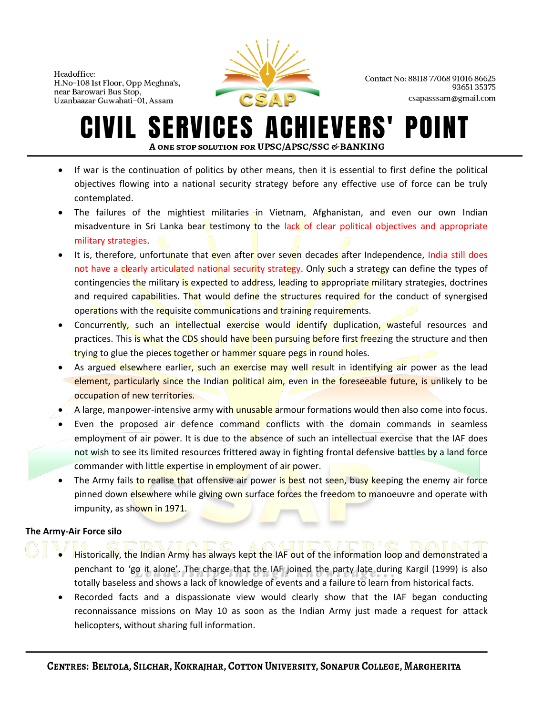

Contact No: 88118 77068 91016 86625 9365135375 csapasssam@gmail.com

#### **SERVICES ACHIEVERS'** POII IVIL. A ONE STOP SOLUTION FOR UPSC/APSC/SSC & BANKING

- If war is the continuation of politics by other means, then it is essential to first define the political objectives flowing into a national security strategy before any effective use of force can be truly contemplated.
- The failures of the mightiest militaries in Vietnam, Afghanistan, and even our own Indian misadventure in Sri Lanka bear testimony to the lack of clear political objectives and appropriate military strategies.
- It is, therefore, unfortunate that even after over seven decades after Independence, India still does not have a clearly articulated national security strategy. Only such a strategy can define the types of contingencies the military is expected to address, leading to appropriate military strategies, doctrines and required capabilities. That would define the structures required for the conduct of synergised operations with the requisite communications and training requirements.
- Concurrently, such an intellectual exercise would identify duplication, wasteful resources and practices. This is what the CDS should have been pursuing before first freezing the structure and then trying to glue the pieces together or hammer square pegs in round holes.
- As argued elsewhere earlier, such an exercise may well result in identifying air power as the lead element, particularly since the Indian political aim, even in the foreseeable future, is unlikely to be occupation of new territories.
- A large, manpower-intensive army with unusable armour formations would then also come into focus.
- Even the proposed air defence command conflicts with the domain commands in seamless employment of air power. It is due to the absence of such an intellectual exercise that the IAF does not wish to see its limited resources frittered away in fighting frontal defensive battles by a land force commander with little expertise in employment of air power.
- The Army fails to realise that offensive air power is best not seen, busy keeping the enemy air force pinned down elsewhere while giving own surface forces the freedom to manoeuvre and operate with impunity, as shown in 1971.

## **The Army-Air Force silo**

- Historically, the Indian Army has always kept the IAF out of the information loop and demonstrated a penchant to 'go it alone'. The charge that the IAF joined the party late during Kargil (1999) is also totally baseless and shows a lack of knowledge of events and a failure to learn from historical facts.
- Recorded facts and a dispassionate view would clearly show that the IAF began conducting reconnaissance missions on May 10 as soon as the Indian Army just made a request for attack helicopters, without sharing full information.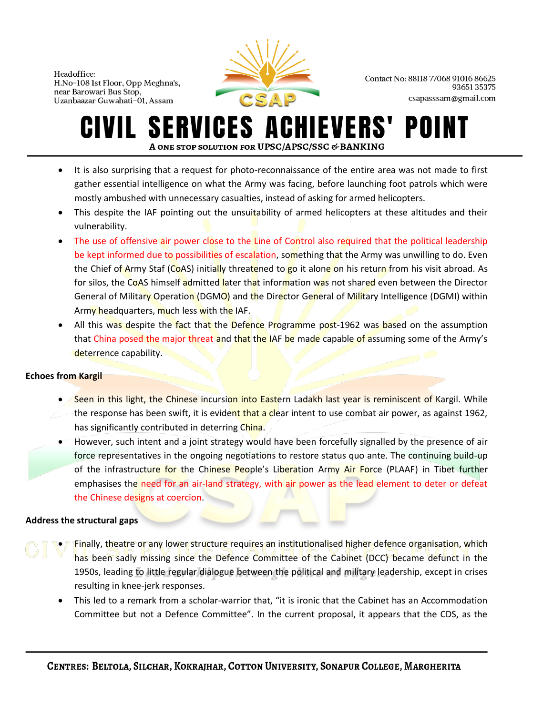

Contact No: 88118 77068 91016 86625 9365135375 csapasssam@gmail.com

## **SERVICES ACHIEVERS'** POII A ONE STOP SOLUTION FOR UPSC/APSC/SSC & BANKING

- It is also surprising that a request for photo-reconnaissance of the entire area was not made to first gather essential intelligence on what the Army was facing, before launching foot patrols which were mostly ambushed with unnecessary casualties, instead of asking for armed helicopters.
- This despite the IAF pointing out the unsuitability of armed helicopters at these altitudes and their vulnerability.
- The use of offensive air power close to the Line of Control also required that the political leadership be kept informed due to possibilities of escalation, something that the Army was unwilling to do. Even the Chief of Army Staf (CoAS) initially threatened to go it alone on his return from his visit abroad. As for silos, the CoAS himself admitted later that information was not shared even between the Director General of Military Operation (DGMO) and the Director General of Military Intelligence (DGMI) within Army headquarters, much less with the IAF.
- All this was despite the fact that the Defence Programme post-1962 was based on the assumption that China posed the major threat and that the IAF be made capable of assuming some of the Army's deterrence capability.

## **Echoes from Kargil**

- Seen in this light, the Chinese incursion into Eastern Ladakh last year is reminiscent of Kargil. While the response has been swift, it is evident that a clear intent to use combat air power, as against 1962, has significantly contributed in deterring China.
- However, such intent and a joint strategy would have been forcefully signalled by the presence of air force representatives in the ongoing negotiations to restore status quo ante. The continuing build-up of the infrastructure for the Chinese People's Liberation Army Air Force (PLAAF) in Tibet further emphasises the need for an air-land strategy, with air power as the lead element to deter or defeat the Chinese designs at coercion.

## **Address the structural gaps**

- Finally, theatre or any lower structure requires an institutionalised higher defence organisation, which has been sadly missing since the Defence Committee of the Cabinet (DCC) became defunct in the 1950s, leading to little regular dialogue between the political and military leadership, except in crises resulting in knee-jerk responses.
	- This led to a remark from a scholar-warrior that, "it is ironic that the Cabinet has an Accommodation Committee but not a Defence Committee". In the current proposal, it appears that the CDS, as the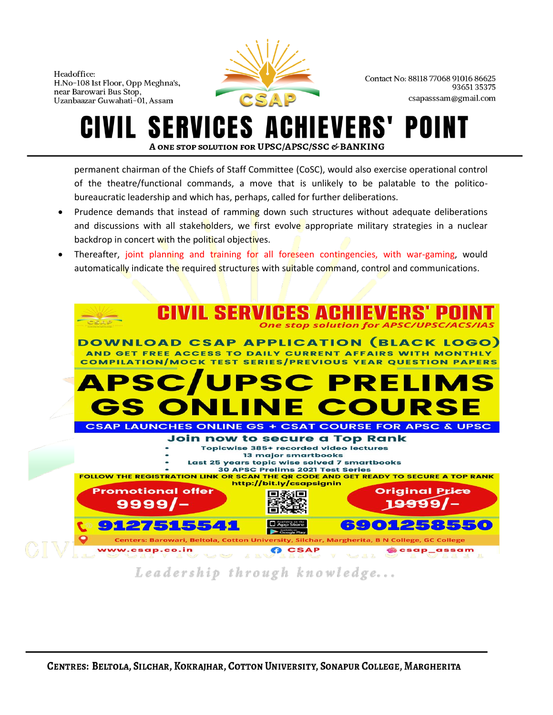

Contact No: 88118 77068 91016 86625 9365135375 csapasssam@gmail.com

## **SERVICES A IEVERS'** POI A ONE STOP SOLUTION FOR UPSC/APSC/SSC & BANKING

permanent chairman of the Chiefs of Staff Committee (CoSC), would also exercise operational control of the theatre/functional commands, a move that is unlikely to be palatable to the politicobureaucratic leadership and which has, perhaps, called for further deliberations.

- Prudence demands that instead of ramming down such structures without adequate deliberations and discussions with all stakeholders, we first evolve appropriate military strategies in a nuclear backdrop in concert with the political objectives.
- Thereafter, joint planning and training for all foreseen contingencies, with war-gaming, would automatically indicate the required structures with suitable command, control and communications.



## Leadership through knowledge...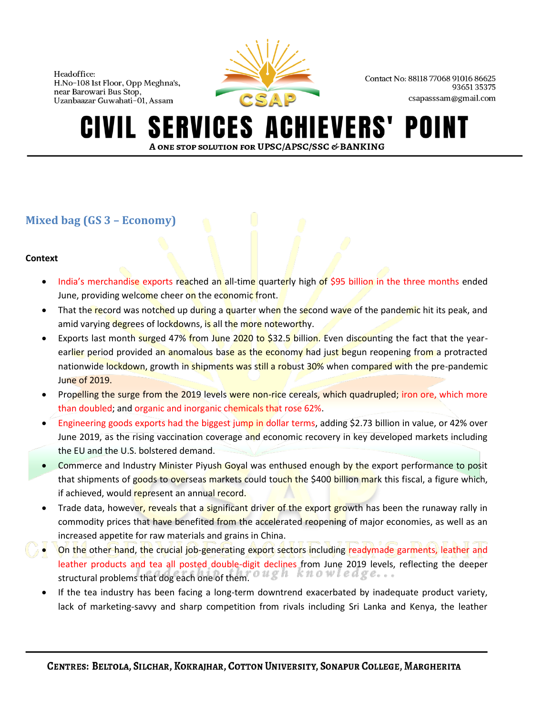

Contact No: 88118 77068 91016 86625 9365135375 csapasssam@gmail.com

## **SERVICES A IEVERS'** POII A ONE STOP SOLUTION FOR UPSC/APSC/SSC & BANKING

## **Mixed bag (GS 3 – Economy)**

## **Context**

- India's merchandise exports reached an all-time quarterly high of \$95 billion in the three months ended June, providing welcome cheer on the economic front.
- That the record was notched up during a quarter when the second wave of the pandemic hit its peak, and amid varying degrees of lockdowns, is all the more noteworthy.
- Exports last month surged 47% from June 2020 to \$32.5 billion. Even discounting the fact that the yearearlier period provided an anomalous base as the economy had just begun reopening from a protracted nationwide lockdown, growth in shipments was still a robust 30% when compared with the pre-pandemic June of 2019.
- Propelling the surge from the 2019 levels were non-rice cereals, which quadrupled; iron ore, which more than doubled; and organic and inorganic chemicals that rose 62%.
- Engineering goods exports had the biggest jump in dollar terms, adding \$2.73 billion in value, or 42% over June 2019, as the rising vaccination coverage and economic recovery in key developed markets including the EU and the U.S. bolstered demand.
- Commerce and Industry Minister Piyush Goyal was enthused enough by the export performance to posit that shipments of goods to overseas markets could touch the \$400 billion mark this fiscal, a figure which, if achieved, would represent an annual record.
- Trade data, however, reveals that a significant driver of the export growth has been the runaway rally in commodity prices that have benefited from the accelerated reopening of major economies, as well as an increased appetite for raw materials and grains in China.
- On the other hand, the crucial job-generating export sectors including readymade garments, leather and leather products and tea all posted double-digit declines from June 2019 levels, reflecting the deeper structural problems that dog each one of them.  $\overline{o} u g h$  knowledge...
	- If the tea industry has been facing a long-term downtrend exacerbated by inadequate product variety, lack of marketing-savvy and sharp competition from rivals including Sri Lanka and Kenya, the leather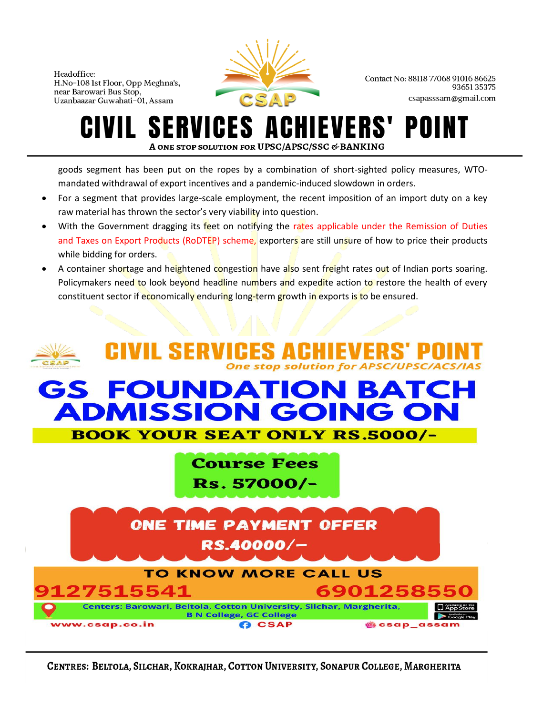

Contact No: 88118 77068 91016 86625 9365135375 csapasssam@gmail.com

## **SERVICES A IEVERS'** POII A ONE STOP SOLUTION FOR UPSC/APSC/SSC & BANKING

goods segment has been put on the ropes by a combination of short-sighted policy measures, WTOmandated withdrawal of export incentives and a pandemic-induced slowdown in orders.

- For a segment that provides large-scale employment, the recent imposition of an import duty on a key raw material has thrown the sector's very viability into question.
- With the Government dragging its feet on notifying the rates applicable under the Remission of Duties and Taxes on Export Products (RoDTEP) scheme, exporters are still unsure of how to price their products while bidding for orders.
- A container shortage and heightened congestion have also sent freight rates out of Indian ports soaring. Policymakers need to look beyond headline numbers and expedite action to restore the health of every constituent sector if economically enduring long-term growth in exports is to be ensured.



CENTRES: BELTOLA, SILCHAR, KOKRAJHAR, COTTON UNIVERSITY, SONAPUR COLLEGE, MARGHERITA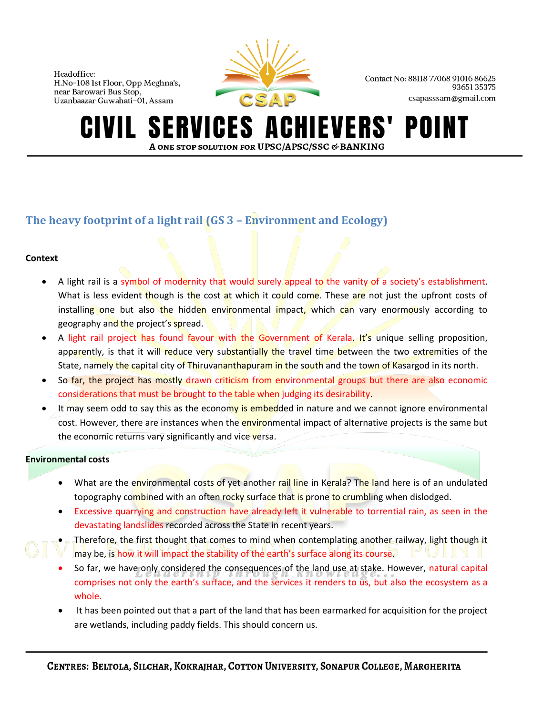

Contact No: 88118 77068 91016 86625 9365135375 csapasssam@gmail.com

#### **SERVICES A** HIEVERS' POINT A ONE STOP SOLUTION FOR UPSC/APSC/SSC & BANKING

## **The heavy footprint of a light rail (GS 3 – Environment and Ecology)**

## **Context**

- A light rail is a symbol of modernity that would surely appeal to the vanity of a society's establishment. What is less evident though is the cost at which it could come. These are not just the upfront costs of installing one but also the hidden environmental impact, which can vary enormously according to geography and the project's spread.
- A light rail project has found favour with the Government of Kerala. It's unique selling proposition, apparently, is that it will reduce very substantially the travel time between the two extremities of the State, namely the capital city of Thiruvananthapuram in the south and the town of Kasargod in its north.
- So far, the project has mostly drawn criticism from environmental groups but there are also economic considerations that must be brought to the table when judging its desirability.
- It may seem odd to say this as the economy is embedded in nature and we cannot ignore environmental cost. However, there are instances when the **environmental impact of alternative projects is the same but** the economic returns vary significantly and vice versa.

## **Environmental costs**

- What are the environmental costs of yet another rail line in Kerala? The land here is of an undulated topography combined with an often rocky surface that is prone to crumbling when dislodged.
- Excessive quarrying and construction have already left it vulnerable to torrential rain, as seen in the devastating landslides recorded across the State in recent years.
- Therefore, the first thought that comes to mind when contemplating another railway, light though it may be, is how it will impact the stability of the earth's surface along its course.
- So far, we have only considered the consequences of the land use at stake. However, natural capital comprises not only the earth's surface, and the services it renders to us, but also the ecosystem as a whole.
- It has been pointed out that a part of the land that has been earmarked for acquisition for the project are wetlands, including paddy fields. This should concern us.